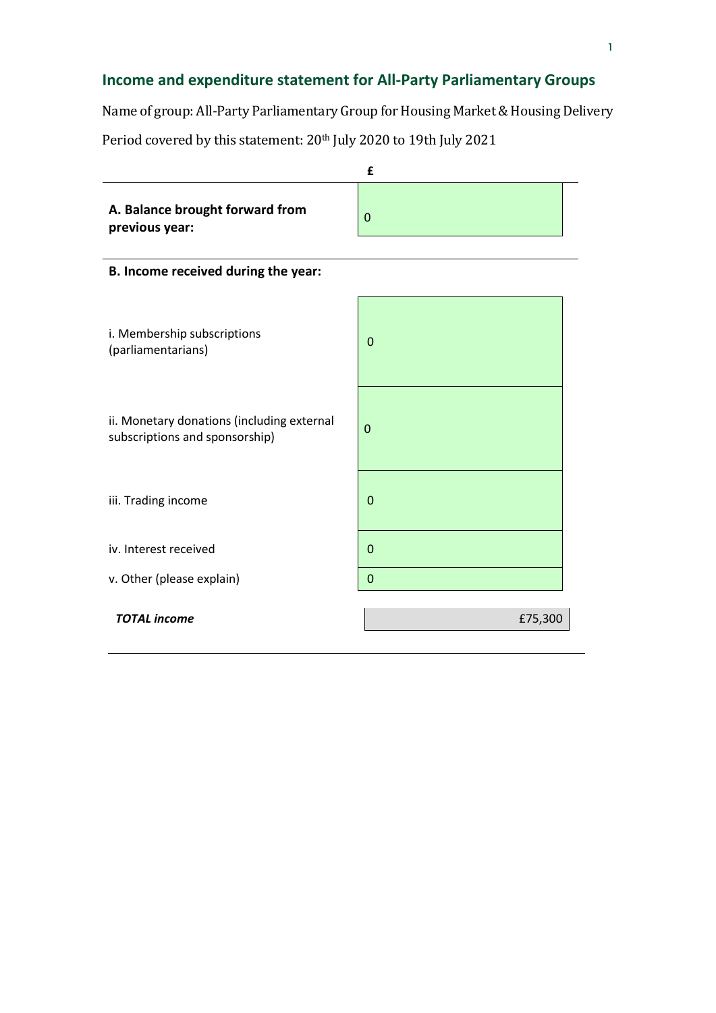## **Income and expenditure statement for All-Party Parliamentary Groups**

Name of group: All-Party Parliamentary Group for Housing Market & Housing Delivery

Period covered by this statement: 20<sup>th</sup> July 2020 to 19th July 2021

|                                                                              | £           |  |
|------------------------------------------------------------------------------|-------------|--|
| A. Balance brought forward from<br>previous year:                            | 0           |  |
| B. Income received during the year:                                          |             |  |
| i. Membership subscriptions<br>(parliamentarians)                            | $\Omega$    |  |
| ii. Monetary donations (including external<br>subscriptions and sponsorship) | $\mathbf 0$ |  |
| iii. Trading income                                                          | $\mathbf 0$ |  |
| iv. Interest received                                                        | $\mathbf 0$ |  |
| v. Other (please explain)                                                    | $\Omega$    |  |
| <b>TOTAL income</b>                                                          | £75,300     |  |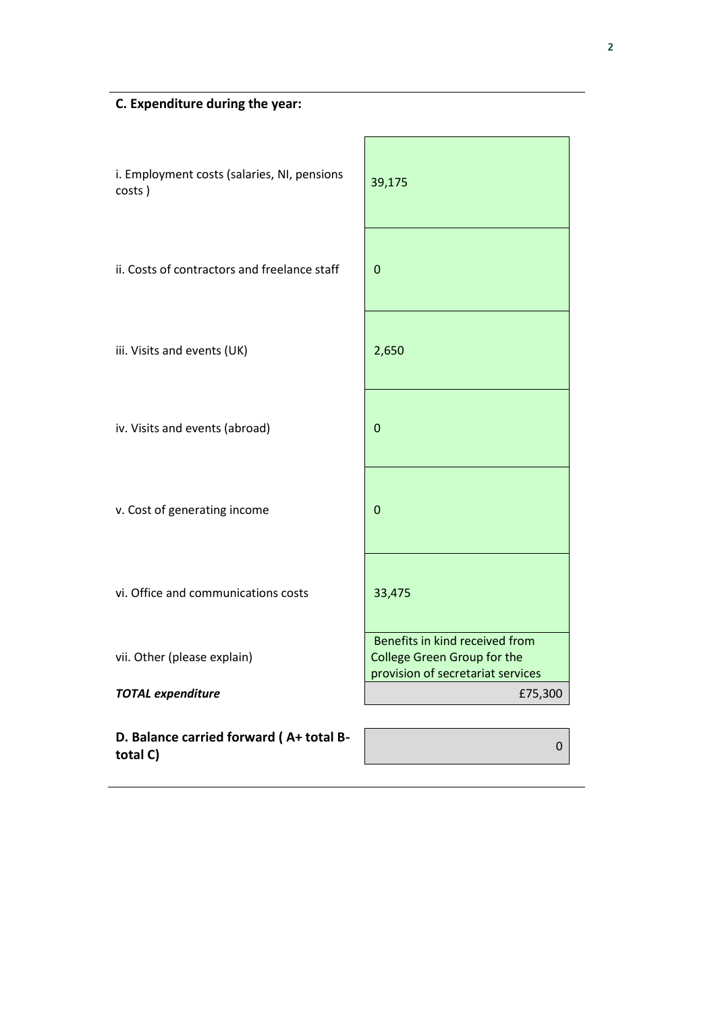| i. Employment costs (salaries, NI, pensions<br>costs) | 39,175                                                               |
|-------------------------------------------------------|----------------------------------------------------------------------|
| ii. Costs of contractors and freelance staff          | 0                                                                    |
| iii. Visits and events (UK)                           | 2,650                                                                |
| iv. Visits and events (abroad)                        | 0                                                                    |
| v. Cost of generating income                          | 0                                                                    |
| vi. Office and communications costs                   | 33,475                                                               |
| vii. Other (please explain)                           | Benefits in kind received from<br><b>College Green Group for the</b> |
| <b>TOTAL expenditure</b>                              | provision of secretariat services<br>£75,300                         |
| D. Balance carried forward (A+ total B-<br>total C)   | 0                                                                    |

 $\mathbf{r}$ 

Ĩ.